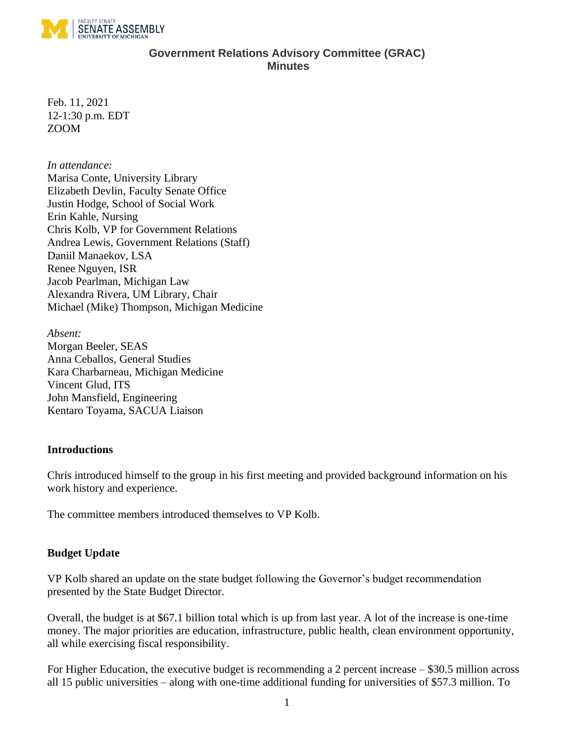

### **Government Relations Advisory Committee (GRAC) Minutes**

Feb. 11, 2021 12-1:30 p.m. EDT ZOOM

#### *In attendance:*

Marisa Conte, University Library Elizabeth Devlin, Faculty Senate Office Justin Hodge, School of Social Work Erin Kahle, Nursing Chris Kolb, VP for Government Relations Andrea Lewis, Government Relations (Staff) Daniil Manaekov, LSA Renee Nguyen, ISR Jacob Pearlman, Michigan Law Alexandra Rivera, UM Library, Chair Michael (Mike) Thompson, Michigan Medicine

*Absent:* Morgan Beeler, SEAS Anna Ceballos, General Studies Kara Charbarneau, Michigan Medicine Vincent Glud, ITS John Mansfield, Engineering Kentaro Toyama, SACUA Liaison

### **Introductions**

Chris introduced himself to the group in his first meeting and provided background information on his work history and experience.

The committee members introduced themselves to VP Kolb.

### **Budget Update**

VP Kolb shared an update on the state budget following the Governor's budget recommendation presented by the State Budget Director.

Overall, the budget is at \$67.1 billion total which is up from last year. A lot of the increase is one-time money. The major priorities are education, infrastructure, public health, clean environment opportunity, all while exercising fiscal responsibility.

For Higher Education, the executive budget is recommending a 2 percent increase – \$30.5 million across all 15 public universities – along with one-time additional funding for universities of \$57.3 million. To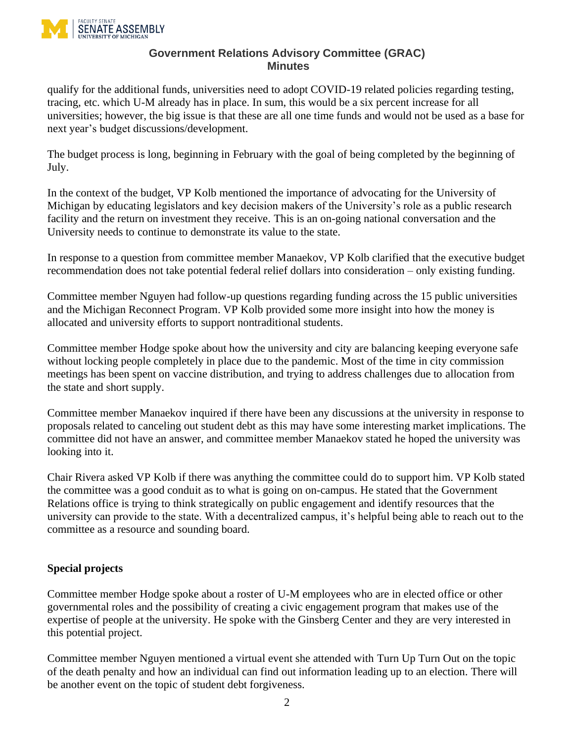

#### **Government Relations Advisory Committee (GRAC) Minutes**

qualify for the additional funds, universities need to adopt COVID-19 related policies regarding testing, tracing, etc. which U-M already has in place. In sum, this would be a six percent increase for all universities; however, the big issue is that these are all one time funds and would not be used as a base for next year's budget discussions/development.

The budget process is long, beginning in February with the goal of being completed by the beginning of July.

In the context of the budget, VP Kolb mentioned the importance of advocating for the University of Michigan by educating legislators and key decision makers of the University's role as a public research facility and the return on investment they receive. This is an on-going national conversation and the University needs to continue to demonstrate its value to the state.

In response to a question from committee member Manaekov, VP Kolb clarified that the executive budget recommendation does not take potential federal relief dollars into consideration – only existing funding.

Committee member Nguyen had follow-up questions regarding funding across the 15 public universities and the Michigan Reconnect Program. VP Kolb provided some more insight into how the money is allocated and university efforts to support nontraditional students.

Committee member Hodge spoke about how the university and city are balancing keeping everyone safe without locking people completely in place due to the pandemic. Most of the time in city commission meetings has been spent on vaccine distribution, and trying to address challenges due to allocation from the state and short supply.

Committee member Manaekov inquired if there have been any discussions at the university in response to proposals related to canceling out student debt as this may have some interesting market implications. The committee did not have an answer, and committee member Manaekov stated he hoped the university was looking into it.

Chair Rivera asked VP Kolb if there was anything the committee could do to support him. VP Kolb stated the committee was a good conduit as to what is going on on-campus. He stated that the Government Relations office is trying to think strategically on public engagement and identify resources that the university can provide to the state. With a decentralized campus, it's helpful being able to reach out to the committee as a resource and sounding board.

## **Special projects**

Committee member Hodge spoke about a roster of U-M employees who are in elected office or other governmental roles and the possibility of creating a civic engagement program that makes use of the expertise of people at the university. He spoke with the Ginsberg Center and they are very interested in this potential project.

Committee member Nguyen mentioned a virtual event she attended with Turn Up Turn Out on the topic of the death penalty and how an individual can find out information leading up to an election. There will be another event on the topic of student debt forgiveness.